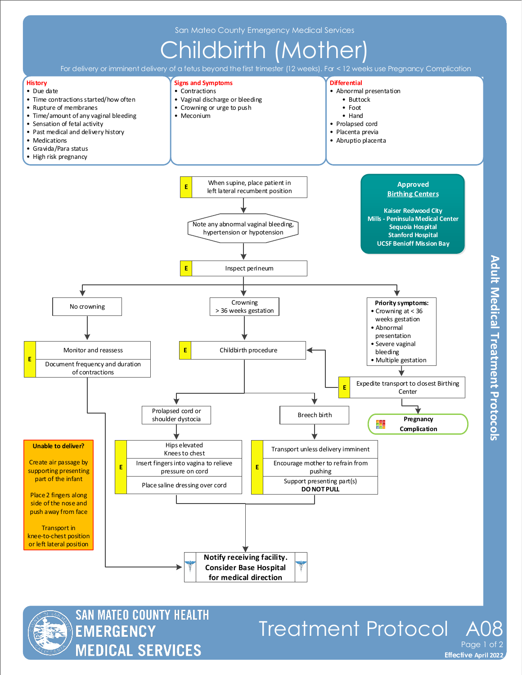

For delivery or imminent delivery of a fetus beyond the first trimester (12 weeks). For <12 weeks use Pregnancy Complication





## Treatment Protocol A

**Adult Medical Treatment Protocols** 

**Effective November 2018 Effective April 2022** Page 1